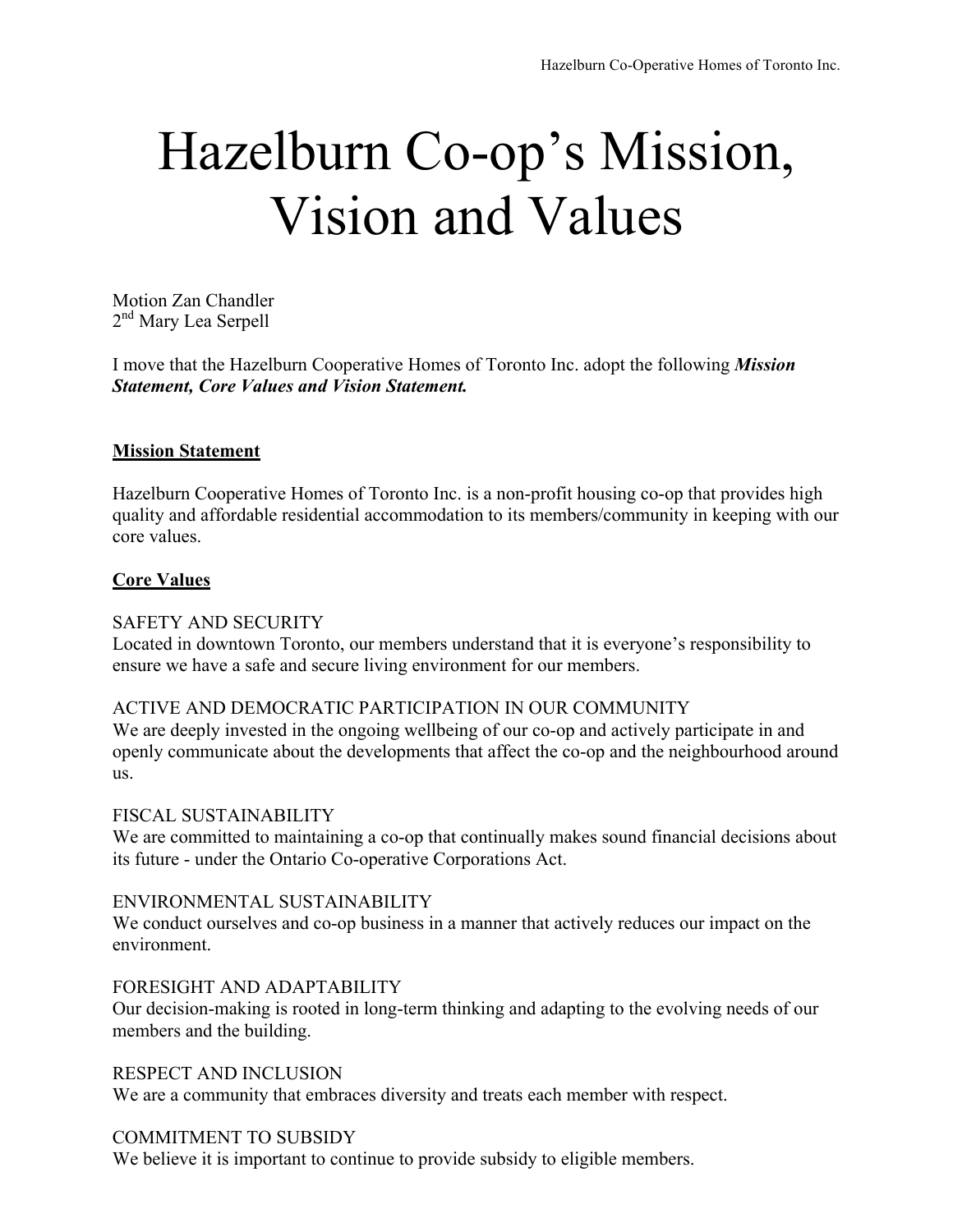# Hazelburn Co-op's Mission, Vision and Values

Motion Zan Chandler 2<sup>nd</sup> Mary Lea Serpell

I move that the Hazelburn Cooperative Homes of Toronto Inc. adopt the following *Mission Statement, Core Values and Vision Statement.* 

# **Mission Statement**

Hazelburn Cooperative Homes of Toronto Inc. is a non-profit housing co-op that provides high quality and affordable residential accommodation to its members/community in keeping with our core values.

# **Core Values**

# SAFETY AND SECURITY

Located in downtown Toronto, our members understand that it is everyone's responsibility to ensure we have a safe and secure living environment for our members.

# ACTIVE AND DEMOCRATIC PARTICIPATION IN OUR COMMUNITY

We are deeply invested in the ongoing wellbeing of our co-op and actively participate in and openly communicate about the developments that affect the co-op and the neighbourhood around us.

#### FISCAL SUSTAINABILITY

We are committed to maintaining a co-op that continually makes sound financial decisions about its future - under the Ontario Co-operative Corporations Act.

#### ENVIRONMENTAL SUSTAINABILITY

We conduct ourselves and co-op business in a manner that actively reduces our impact on the environment.

# FORESIGHT AND ADAPTABILITY

Our decision-making is rooted in long-term thinking and adapting to the evolving needs of our members and the building.

# RESPECT AND INCLUSION

We are a community that embraces diversity and treats each member with respect.

# COMMITMENT TO SUBSIDY

We believe it is important to continue to provide subsidy to eligible members.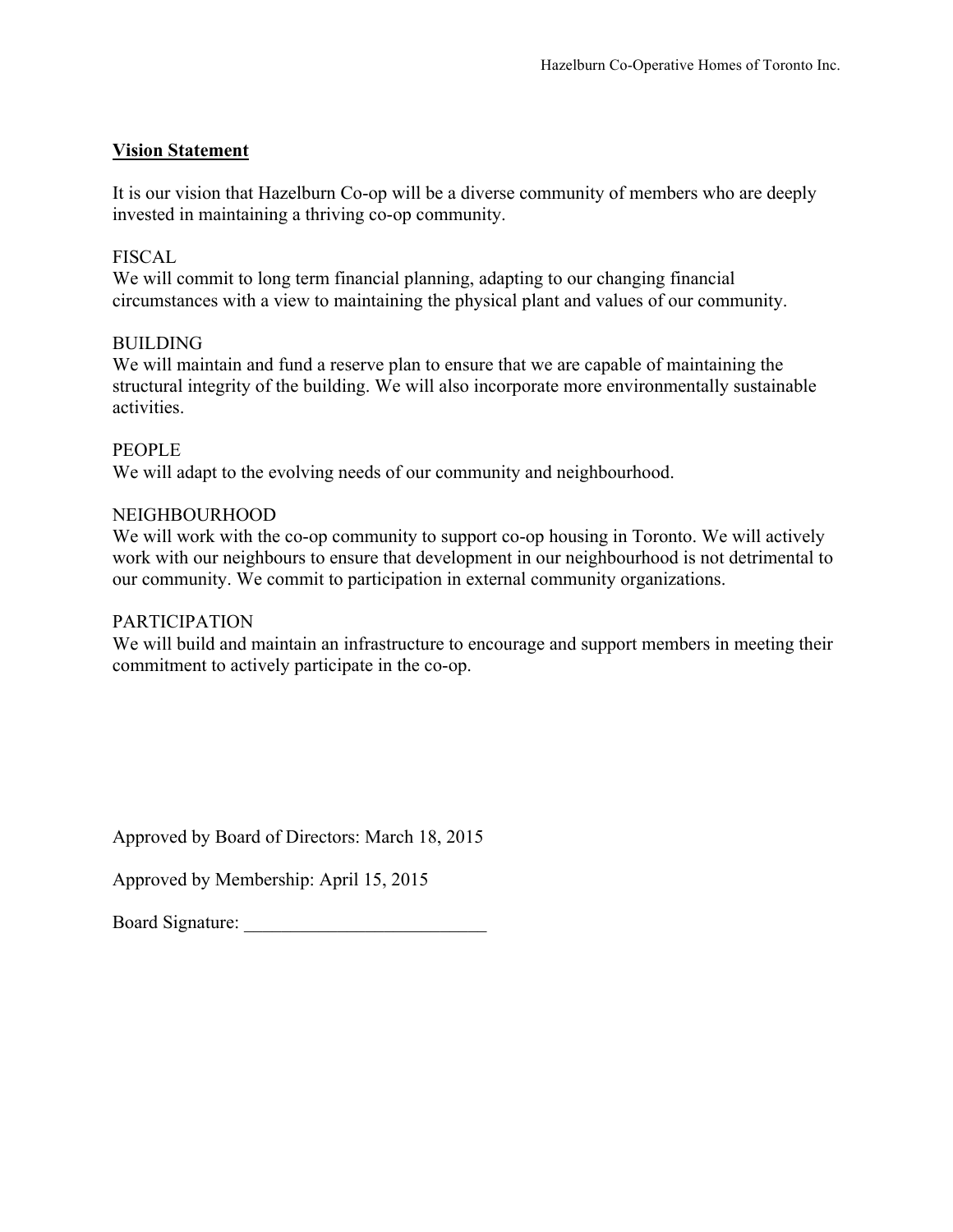#### **Vision Statement**

It is our vision that Hazelburn Co-op will be a diverse community of members who are deeply invested in maintaining a thriving co-op community.

#### FISCAL

We will commit to long term financial planning, adapting to our changing financial circumstances with a view to maintaining the physical plant and values of our community.

#### BUILDING

We will maintain and fund a reserve plan to ensure that we are capable of maintaining the structural integrity of the building. We will also incorporate more environmentally sustainable activities.

PEOPLE We will adapt to the evolving needs of our community and neighbourhood.

#### NEIGHBOURHOOD

We will work with the co-op community to support co-op housing in Toronto. We will actively work with our neighbours to ensure that development in our neighbourhood is not detrimental to our community. We commit to participation in external community organizations.

#### PARTICIPATION

We will build and maintain an infrastructure to encourage and support members in meeting their commitment to actively participate in the co-op.

Approved by Board of Directors: March 18, 2015

Approved by Membership: April 15, 2015

Board Signature: \_\_\_\_\_\_\_\_\_\_\_\_\_\_\_\_\_\_\_\_\_\_\_\_\_\_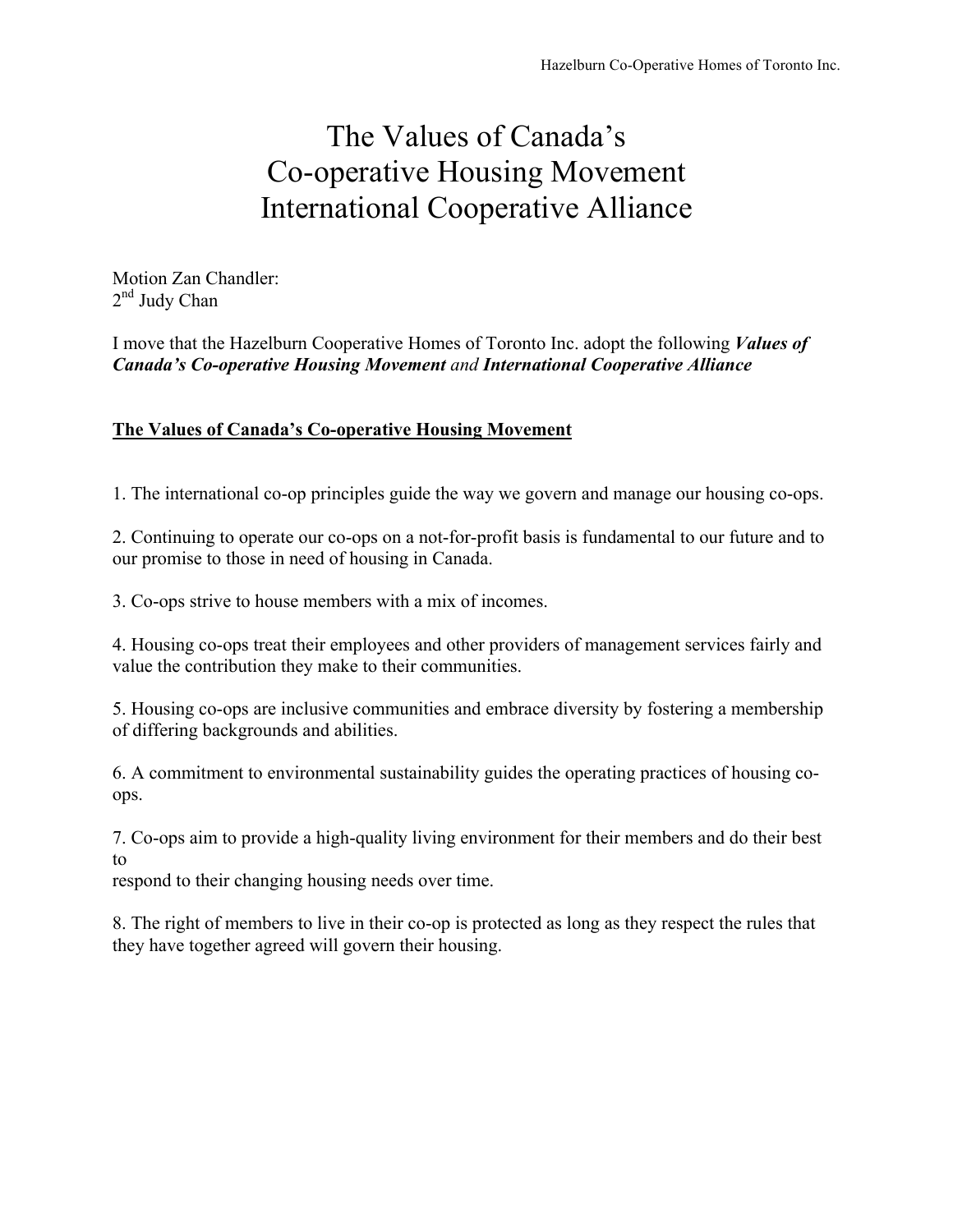# The Values of Canada's Co-operative Housing Movement International Cooperative Alliance

Motion Zan Chandler:  $2<sup>nd</sup>$  Judy Chan

I move that the Hazelburn Cooperative Homes of Toronto Inc. adopt the following *Values of Canada's Co-operative Housing Movement and International Cooperative Alliance*

# **The Values of Canada's Co-operative Housing Movement**

1. The international co-op principles guide the way we govern and manage our housing co-ops.

2. Continuing to operate our co-ops on a not-for-profit basis is fundamental to our future and to our promise to those in need of housing in Canada.

3. Co-ops strive to house members with a mix of incomes.

4. Housing co-ops treat their employees and other providers of management services fairly and value the contribution they make to their communities.

5. Housing co-ops are inclusive communities and embrace diversity by fostering a membership of differing backgrounds and abilities.

6. A commitment to environmental sustainability guides the operating practices of housing coops.

7. Co-ops aim to provide a high-quality living environment for their members and do their best to

respond to their changing housing needs over time.

8. The right of members to live in their co-op is protected as long as they respect the rules that they have together agreed will govern their housing.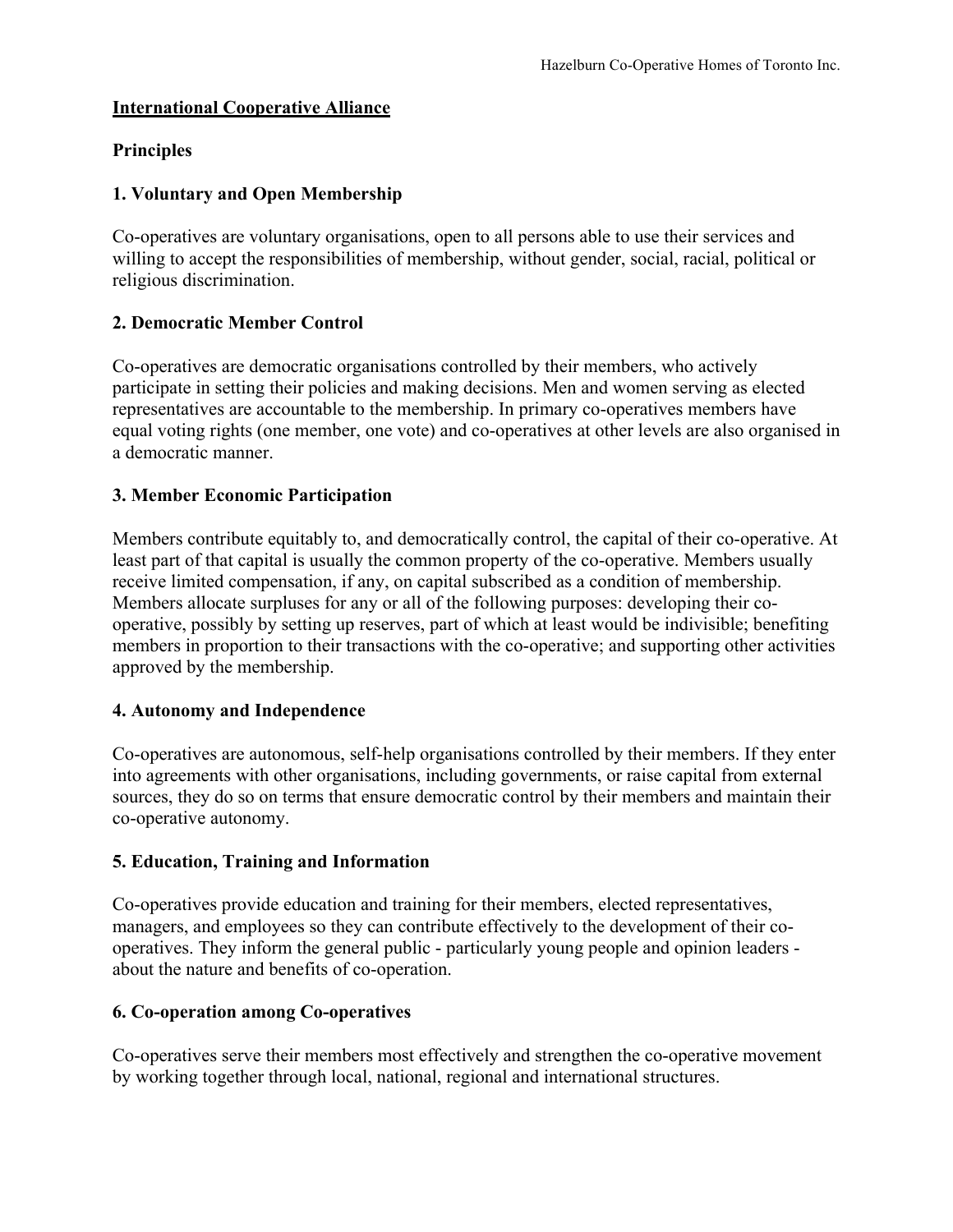# **International Cooperative Alliance**

# **Principles**

# **1. Voluntary and Open Membership**

Co-operatives are voluntary organisations, open to all persons able to use their services and willing to accept the responsibilities of membership, without gender, social, racial, political or religious discrimination.

# **2. Democratic Member Control**

Co-operatives are democratic organisations controlled by their members, who actively participate in setting their policies and making decisions. Men and women serving as elected representatives are accountable to the membership. In primary co-operatives members have equal voting rights (one member, one vote) and co-operatives at other levels are also organised in a democratic manner.

## **3. Member Economic Participation**

Members contribute equitably to, and democratically control, the capital of their co-operative. At least part of that capital is usually the common property of the co-operative. Members usually receive limited compensation, if any, on capital subscribed as a condition of membership. Members allocate surpluses for any or all of the following purposes: developing their cooperative, possibly by setting up reserves, part of which at least would be indivisible; benefiting members in proportion to their transactions with the co-operative; and supporting other activities approved by the membership.

#### **4. Autonomy and Independence**

Co-operatives are autonomous, self-help organisations controlled by their members. If they enter into agreements with other organisations, including governments, or raise capital from external sources, they do so on terms that ensure democratic control by their members and maintain their co-operative autonomy.

#### **5. Education, Training and Information**

Co-operatives provide education and training for their members, elected representatives, managers, and employees so they can contribute effectively to the development of their cooperatives. They inform the general public - particularly young people and opinion leaders about the nature and benefits of co-operation.

## **6. Co-operation among Co-operatives**

Co-operatives serve their members most effectively and strengthen the co-operative movement by working together through local, national, regional and international structures.